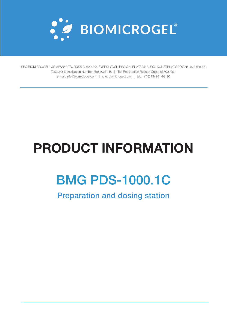

"SPC BIOMICROGEL" COMPANY LTD. RUSSIA, 620072, SVERDLOVSK REGION, EKATERINBURG, KONSTRUKTOROV str., 5, office 431 Taxpayer Identification Number: 6685023448 | Tax Registration Reason Code: 667001001 e-mail: info@biomicrogel.com | site: biomicrogel.com | tel.: +7 (343) 251-99-90

# **PRODUCT INFORMATION**

## BMG PDS-1000.1C

Preparation and dosing station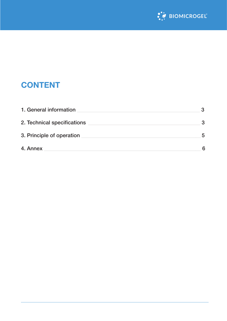

### **CONTENT**

| 1. General information      | 3 |
|-----------------------------|---|
| 2. Technical specifications | 3 |
| 3. Principle of operation   | 5 |
| 4. Annex                    | 6 |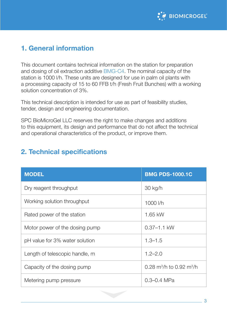

#### <span id="page-2-0"></span>**1. General information**

This document contains technical information on the station for preparation and dosing of oil extraction additive BMG-C4. The nominal capacity of the station is 1000 l/h. These units are designed for use in palm oil plants with a processing capacity of 15 to 60 FFB t/h (Fresh Fruit Bunches) with a working solution concentration of 3%.

This technical description is intended for use as part of feasibility studies, tender, design and engineering documentation.

SPC BioMicroGel LLC reserves the right to make changes and additions to this equipment, its design and performance that do not affect the technical and operational characteristics of the product, or improve them.

#### **2. Technical specifications**

| <b>MODEL</b>                   | <b>BMG PDS-1000.1C</b>                           |
|--------------------------------|--------------------------------------------------|
| Dry reagent throughput         | 30 kg/h                                          |
| Working solution throughput    | 1000 l/h                                         |
| Rated power of the station     | 1.65 kW                                          |
| Motor power of the dosing pump | $0.37 - 1.1$ kW                                  |
| pH value for 3% water solution | $1.3 - 1.5$                                      |
| Length of telescopic handle, m | $1.2 - 2.0$                                      |
| Capacity of the dosing pump    | 0.28 m <sup>3</sup> /h to 0.92 m <sup>3</sup> /h |
| Metering pump pressure         | $0.3 - 0.4$ MPa                                  |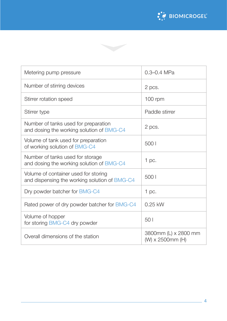



| Metering pump pressure                                                                | $0.3 - 0.4$ MPa                          |
|---------------------------------------------------------------------------------------|------------------------------------------|
| Number of stirring devices                                                            | 2 pcs.                                   |
| Stirrer rotation speed                                                                | $100$ rpm                                |
| Stirrer type                                                                          | Paddle stirrer                           |
| Number of tanks used for preparation<br>and dosing the working solution of BMG-C4     | 2 pcs.                                   |
| Volume of tank used for preparation<br>of working solution of BMG-C4                  | 500                                      |
| Number of tanks used for storage<br>and dosing the working solution of BMG-C4         | $1$ pc.                                  |
| Volume of container used for storing<br>and dispensing the working solution of BMG-C4 | 500                                      |
| Dry powder batcher for BMG-C4                                                         | $1$ pc.                                  |
| Rated power of dry powder batcher for BMG-C4                                          | $0.25$ kW                                |
| Volume of hopper<br>for storing BMG-C4 dry powder                                     | 50 <sub>1</sub>                          |
| Overall dimensions of the station                                                     | 3800mm (L) x 2800 mm<br>(W) x 2500mm (H) |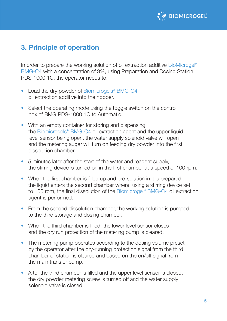

#### <span id="page-4-0"></span>**3. Principle of operation**

In order to prepare the working solution of oil extraction additive BioMicrogel<sup>®</sup> BMG-C4 with a concentration of 3%, using Preparation and Dosing Station PDS-1000.1C, the operator needs to:

- Load the dry powder of Biomicrogels<sup>®</sup> BMG-C4 oil extraction additive into the hopper.
- Select the operating mode using the toggle switch on the control box of BMG PDS-1000.1C to Automatic.
- With an empty container for storing and dispensing the Biomicrogels® BMG-C4 oil extraction agent and the upper liquid level sensor being open, the water supply solenoid valve will open and the metering auger will turn on feeding dry powder into the first dissolution chamber.
- 5 minutes later after the start of the water and reagent supply, the stirring device is turned on in the first chamber at a speed of 100 rpm.
- When the first chamber is filled up and pre-solution in it is prepared, the liquid enters the second chamber where, using a stirring device set to 100 rpm, the final dissolution of the Biomicrogel® BMG-C4 oil extraction agent is performed.
- From the second dissolution chamber, the working solution is pumped to the third storage and dosing chamber.
- When the third chamber is filled, the lower level sensor closes and the dry run protection of the metering pump is cleared.
- The metering pump operates according to the dosing volume preset by the operator after the dry-running protection signal from the third chamber of station is cleared and based on the on/off signal from the main transfer pump.
- After the third chamber is filled and the upper level sensor is closed, the dry powder metering screw is turned off and the water supply solenoid valve is closed.